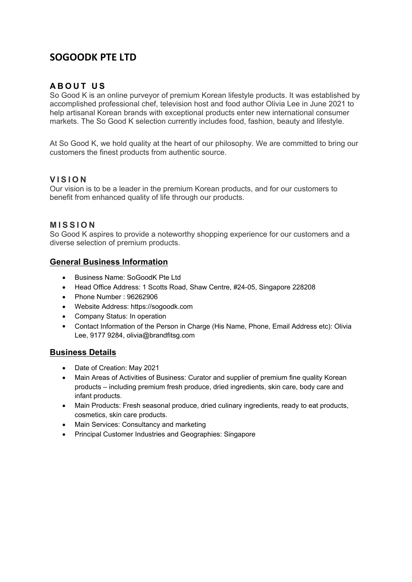# **SOGOODK PTE LTD**

# **A B O U T U S**

So Good K is an online purveyor of premium Korean lifestyle products. It was established by accomplished professional chef, television host and food author Olivia Lee in June 2021 to help artisanal Korean brands with exceptional products enter new international consumer markets. The So Good K selection currently includes food, fashion, beauty and lifestyle.

At So Good K, we hold quality at the heart of our philosophy. We are committed to bring our customers the finest products from authentic source.

# **V I S I O N**

Our vision is to be a leader in the premium Korean products, and for our customers to benefit from enhanced quality of life through our products.

# **M I S S I O N**

So Good K aspires to provide a noteworthy shopping experience for our customers and a diverse selection of premium products.

# **General Business Information**

- Business Name: SoGoodK Pte Ltd
- Head Office Address: 1 Scotts Road, Shaw Centre, #24-05, Singapore 228208
- Phone Number: 96262906
- Website Address: https://sogoodk.com
- Company Status: In operation
- Contact Information of the Person in Charge (His Name, Phone, Email Address etc): Olivia Lee, 9177 9284, olivia@brandfitsg.com

# **Business Details**

- Date of Creation: May 2021
- Main Areas of Activities of Business: Curator and supplier of premium fine quality Korean products – including premium fresh produce, dried ingredients, skin care, body care and infant products.
- Main Products: Fresh seasonal produce, dried culinary ingredients, ready to eat products, cosmetics, skin care products.
- Main Services: Consultancy and marketing
- Principal Customer Industries and Geographies: Singapore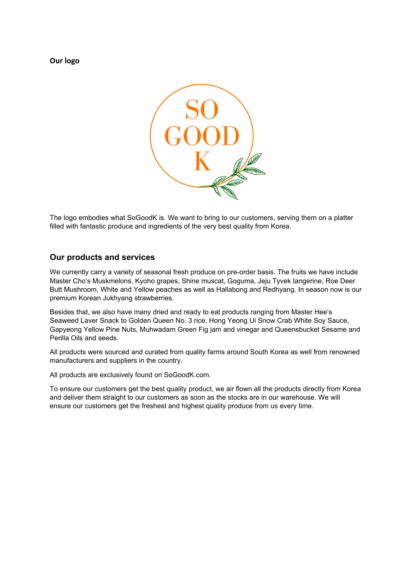**Our logo**



The logo embodies what SoGoodK is. We want to bring to our customers, serving them on a platter filled with fantastic produce and ingredients of the very best quality from Korea.

# **Our products and services**

We currently carry a variety of seasonal fresh produce on pre-order basis. The fruits we have include Master Cho's Muskmelons, Kyoho grapes, Shine muscat, Goguma, Jeju Tyvek tangerine, Roe Deer Butt Mushroom, White and Yellow peaches as well as Hallabong and Redhyang. In season now is our premium Korean Jukhyang strawberries.

Besides that, we also have many dried and ready to eat products ranging from Master Hee's Seaweed Laver Snack to Golden Queen No. 3 rice, Hong Yeong Ui Snow Crab White Soy Sauce, Gapyeong Yellow Pine Nuts, Muhwadam Green Fig jam and vinegar and Queensbucket Sesame and Perilla Oils and seeds.

All products were sourced and curated from quality farms around South Korea as well from renowned manufacturers and suppliers in the country.

All products are exclusively found on SoGoodK.com.

To ensure our customers get the best quality product, we air flown all the products directly from Korea and deliver them straight to our customers as soon as the stocks are in our warehouse. We will ensure our customers get the freshest and highest quality produce from us every time.